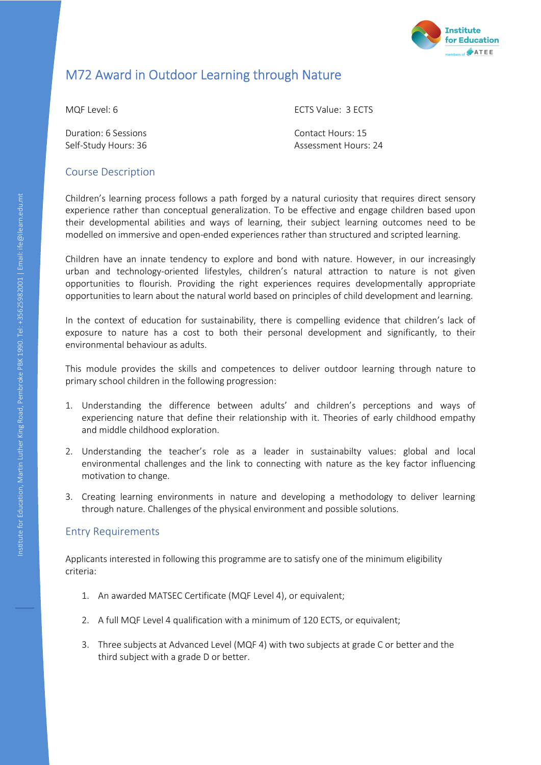

# M72 Award in Outdoor Learning through Nature

**Duration: 6 Sessions Contact Hours: 15** 

MQF Level: 6 ECTS Value: 3 ECTS

Self-Study Hours: 36 Assessment Hours: 24

#### Course Description

Children's learning process follows a path forged by a natural curiosity that requires direct sensory experience rather than conceptual generalization. To be effective and engage children based upon their developmental abilities and ways of learning, their subject learning outcomes need to be modelled on immersive and open-ended experiences rather than structured and scripted learning.

Children have an innate tendency to explore and bond with nature. However, in our increasingly urban and technology-oriented lifestyles, children's natural attraction to nature is not given opportunities to flourish. Providing the right experiences requires developmentally appropriate opportunities to learn about the natural world based on principles of child development and learning.

In the context of education for sustainability, there is compelling evidence that children's lack of exposure to nature has a cost to both their personal development and significantly, to their environmental behaviour as adults.

This module provides the skills and competences to deliver outdoor learning through nature to primary school children in the following progression:

- 1. Understanding the difference between adults' and children's perceptions and ways of experiencing nature that define their relationship with it. Theories of early childhood empathy and middle childhood exploration.
- 2. Understanding the teacher's role as a leader in sustainabilty values: global and local environmental challenges and the link to connecting with nature as the key factor influencing motivation to change.
- 3. Creating learning environments in nature and developing a methodology to deliver learning through nature. Challenges of the physical environment and possible solutions.

# Entry Requirements

Applicants interested in following this programme are to satisfy one of the minimum eligibility criteria:

- 1. An awarded MATSEC Certificate (MQF Level 4), or equivalent;
- 2. A full MQF Level 4 qualification with a minimum of 120 ECTS, or equivalent;
- 3. Three subjects at Advanced Level (MQF 4) with two subjects at grade C or better and the third subject with a grade D or better.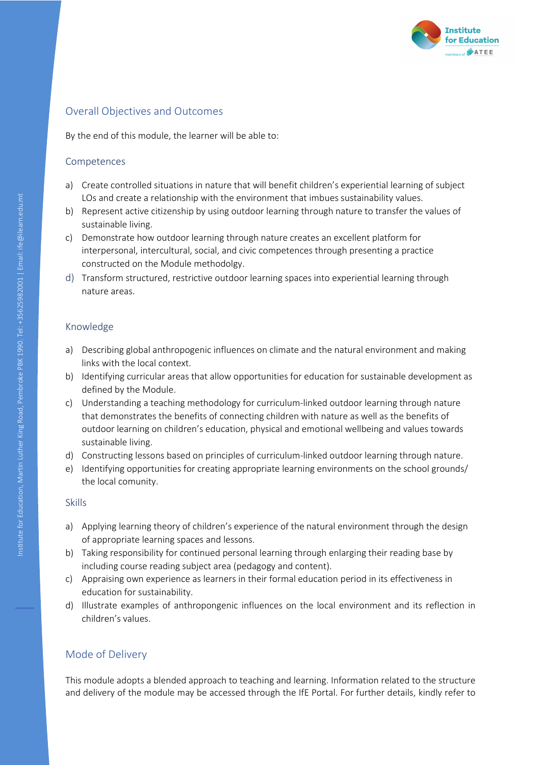

# Overall Objectives and Outcomes

By the end of this module, the learner will be able to:

#### Competences

- a) Create controlled situations in nature that will benefit children's experiential learning of subject LOs and create a relationship with the environment that imbues sustainability values.
- b) Represent active citizenship by using outdoor learning through nature to transfer the values of sustainable living.
- c) Demonstrate how outdoor learning through nature creates an excellent platform for interpersonal, intercultural, social, and civic competences through presenting a practice constructed on the Module methodolgy.
- d) Transform structured, restrictive outdoor learning spaces into experiential learning through nature areas.

#### Knowledge

- a) Describing global anthropogenic influences on climate and the natural environment and making links with the local context.
- b) Identifying curricular areas that allow opportunities for education for sustainable development as defined by the Module.
- c) Understanding a teaching methodology for curriculum-linked outdoor learning through nature that demonstrates the benefits of connecting children with nature as well as the benefits of outdoor learning on children's education, physical and emotional wellbeing and values towards sustainable living.
- d) Constructing lessons based on principles of curriculum-linked outdoor learning through nature.
- e) Identifying opportunities for creating appropriate learning environments on the school grounds/ the local comunity.

#### Skills

- a) Applying learning theory of children's experience of the natural environment through the design of appropriate learning spaces and lessons.
- b) Taking responsibility for continued personal learning through enlarging their reading base by including course reading subject area (pedagogy and content).
- c) Appraising own experience as learners in their formal education period in its effectiveness in education for sustainability.
- d) Illustrate examples of anthropongenic influences on the local environment and its reflection in children's values.

# Mode of Delivery

This module adopts a blended approach to teaching and learning. Information related to the structure and delivery of the module may be accessed through the IfE Portal. For further details, kindly refer to